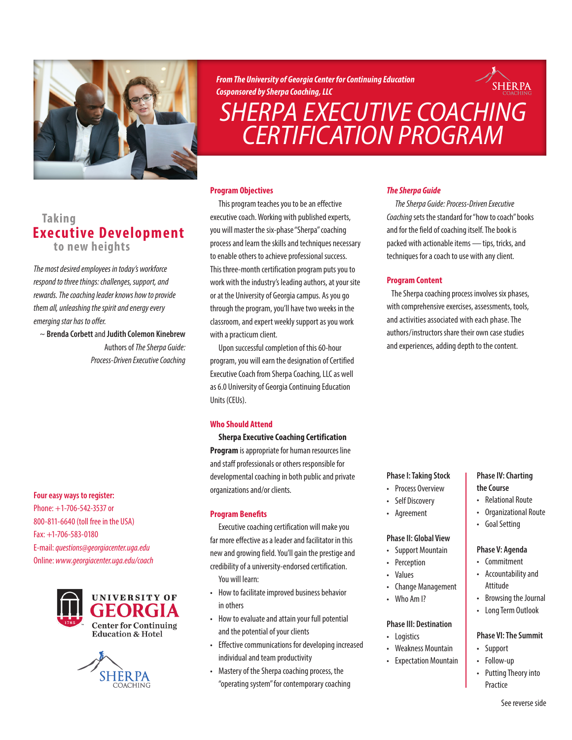

*From The University of Georgia Center for Continuing Education Cosponsored by Sherpa Coaching, LLC*

# *[SHERPA EXECUTIVE COACHING](http://www.georgiacenter.uga.edu/courses/business-and-leadership/sherpa-cert-program) CERTIFICATION PROGRAM*

## **Taking Executive Development to new heights**

*The most desired employees in today's workforce respond to three things: challenges, support, and rewards. The coaching leader knows how to provide them all, unleashing the spirit and energy every emerging star has to offer.*

~ **Brenda Corbett** and **Judith Colemon Kinebrew**  Authors of *The Sherpa Guide: Process-Driven Executive Coaching*

## **Four easy ways to register:**

Phone: +1-706-542-3537 or 800-811-6640 (toll free in the USA) Fax: +1-706-583-0180 E-mail: *[questions@georgiacenter.uga.edu](mailto:questions@georgiacenter.uga.edu?Subject=Sherpa Executive Coaching inquiry)* Online: *[www.georgiacenter.uga.edu/coach](http://www.georgiacenter.uga.edu/courses/business-and-leadership/sherpa-cert-program)*





## **Program Objectives**

This program teaches you to be an effective executive coach. Working with published experts, you will master the six-phase "Sherpa" coaching process and learn the skills and techniques necessary to enable others to achieve professional success. This three-month certification program puts you to work with the industry's leading authors, at your site or at the University of Georgia campus. As you go through the program, you'll have two weeks in the classroom, and expert weekly support as you work with a practicum client.

Upon successful completion of this 60-hour program, you will earn the designation of Certified Executive Coach from Sherpa Coaching, LLC as well as 6.0 University of Georgia Continuing Education Units (CEUs).

## **Who Should Attend**

**Sherpa Executive Coaching Certification Program** is appropriate for human resources line and staff professionals or others responsible for developmental coaching in both public and private organizations and/or clients.

## **Program Benefits**

Executive coaching certification will make you far more effective as a leader and facilitator in this new and growing field. You'll gain the prestige and credibility of a university-endorsed certification. You will learn:

- How to facilitate improved business behavior in others
- How to evaluate and attain your full potential and the potential of your clients
- Effective communications for developing increased individual and team productivity
- Mastery of the Sherpa coaching process, the "operating system" for contemporary coaching

## *The Sherpa Guide*

*The Sherpa Guide: Process-Driven Executive Coaching* sets the standard for "how to coach" books and for the field of coaching itself. The book is packed with actionable items—tips, tricks, and techniques for a coach to use with any client.

**SHERPA** 

## **Program Content**

The Sherpa coaching process involves six phases, with comprehensive exercises, assessments, tools, and activities associated with each phase. The authors/instructors share their own case studies and experiences, adding depth to the content.

## **Phase I: Taking Stock**

- Process Overview
- Self Discovery
- Agreement

## **Phase II: Global View**

- Support Mountain
- Perception
- Values
- Change Management
- Who Am I?

## **Phase III: Destination**

- Logistics
- Weakness Mountain
- Expectation Mountain

## **Phase IV: Charting the Course**

- Relational Route
- Organizational Route
- Goal Setting

## **Phase V: Agenda**

- **Commitment**
- Accountability and Attitude
- Browsing the Journal
- Long Term Outlook

#### **Phase VI: The Summit**

- Support
- Follow-up
- Putting Theory into Practice